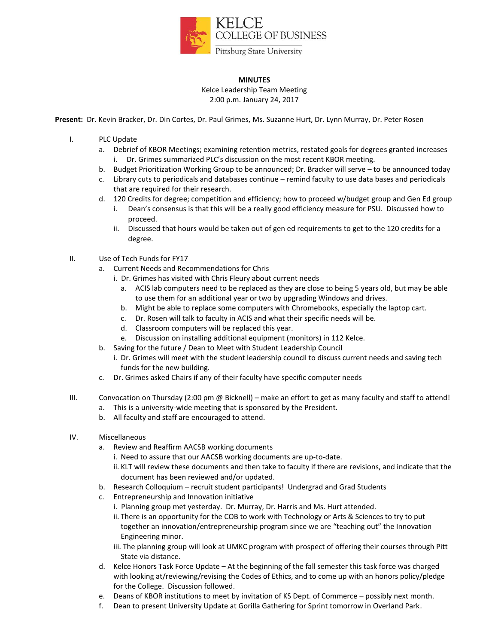

## **MINUTES**

Kelce Leadership Team Meeting 2:00 p.m. January 24, 2017

**Present:** Dr. Kevin Bracker, Dr. Din Cortes, Dr. Paul Grimes, Ms. Suzanne Hurt, Dr. Lynn Murray, Dr. Peter Rosen

- I. PLC Update
	- a. Debrief of KBOR Meetings; examining retention metrics, restated goals for degrees granted increases i. Dr. Grimes summarized PLC's discussion on the most recent KBOR meeting.
	- b. Budget Prioritization Working Group to be announced; Dr. Bracker will serve to be announced today
	- c. Library cuts to periodicals and databases continue remind faculty to use data bases and periodicals that are required for their research.
	- d. 120 Credits for degree; competition and efficiency; how to proceed w/budget group and Gen Ed group i. Dean's consensus is that this will be a really good efficiency measure for PSU. Discussed how to
		- proceed.
		- ii. Discussed that hours would be taken out of gen ed requirements to get to the 120 credits for a degree.
- II. Use of Tech Funds for FY17
	- a. Current Needs and Recommendations for Chris
		- i. Dr. Grimes has visited with Chris Fleury about current needs
			- a. ACIS lab computers need to be replaced as they are close to being 5 years old, but may be able to use them for an additional year or two by upgrading Windows and drives.
			- b. Might be able to replace some computers with Chromebooks, especially the laptop cart.
			- c. Dr. Rosen will talk to faculty in ACIS and what their specific needs will be.
			- d. Classroom computers will be replaced this year.
			- e. Discussion on installing additional equipment (monitors) in 112 Kelce.
	- b. Saving for the future / Dean to Meet with Student Leadership Council
		- i. Dr. Grimes will meet with the student leadership council to discuss current needs and saving tech funds for the new building.
	- c. Dr. Grimes asked Chairs if any of their faculty have specific computer needs
- III. Convocation on Thursday (2:00 pm @ Bicknell) make an effort to get as many faculty and staff to attend!
	- a. This is a university-wide meeting that is sponsored by the President.
	- b. All faculty and staff are encouraged to attend.
- IV. Miscellaneous
	- a. Review and Reaffirm AACSB working documents
		- i. Need to assure that our AACSB working documents are up-to-date.
		- ii. KLT will review these documents and then take to faculty if there are revisions, and indicate that the document has been reviewed and/or updated.
	- b. Research Colloquium recruit student participants! Undergrad and Grad Students
	- c. Entrepreneurship and Innovation initiative
		- i. Planning group met yesterday. Dr. Murray, Dr. Harris and Ms. Hurt attended.
		- ii. There is an opportunity for the COB to work with Technology or Arts & Sciences to try to put together an innovation/entrepreneurship program since we are "teaching out" the Innovation Engineering minor.
		- iii. The planning group will look at UMKC program with prospect of offering their courses through Pitt State via distance.
	- d. Kelce Honors Task Force Update At the beginning of the fall semester this task force was charged with looking at/reviewing/revising the Codes of Ethics, and to come up with an honors policy/pledge for the College. Discussion followed.
	- e. Deans of KBOR institutions to meet by invitation of KS Dept. of Commerce possibly next month.
	- f. Dean to present University Update at Gorilla Gathering for Sprint tomorrow in Overland Park.